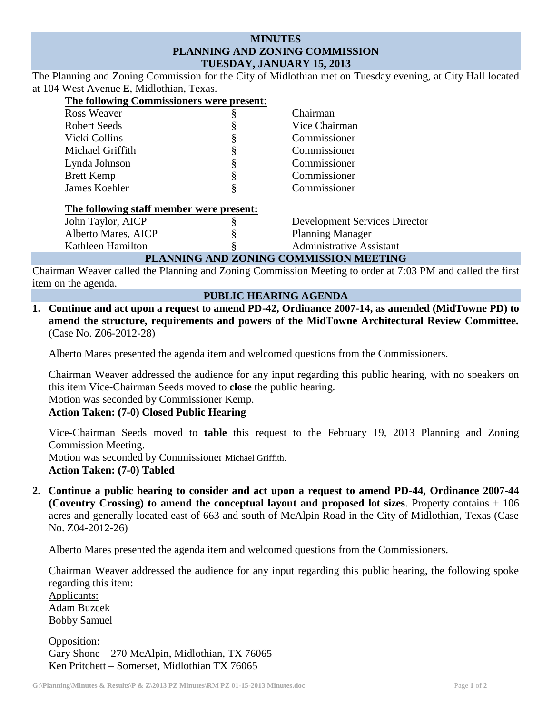## **MINUTES PLANNING AND ZONING COMMISSION TUESDAY, JANUARY 15, 2013**

The Planning and Zoning Commission for the City of Midlothian met on Tuesday evening, at City Hall located at 104 West Avenue E, Midlothian, Texas.

| The following Commissioners were present: |   |                                      |
|-------------------------------------------|---|--------------------------------------|
| <b>Ross Weaver</b>                        | § | Chairman                             |
| Robert Seeds                              | ş | Vice Chairman                        |
| Vicki Collins                             | § | Commissioner                         |
| Michael Griffith                          | § | Commissioner                         |
| Lynda Johnson                             | § | Commissioner                         |
| <b>Brett Kemp</b>                         | § | Commissioner                         |
| James Koehler                             | § | Commissioner                         |
| The following staff member were present:  |   |                                      |
| John Taylor, AICP                         | § | <b>Development Services Director</b> |
| Alberto Mares, AICP                       |   | <b>Planning Manager</b>              |
| Kathleen Hamilton                         |   | <b>Administrative Assistant</b>      |
| PLANNING AND ZONING COMMISSION MEETING    |   |                                      |

Chairman Weaver called the Planning and Zoning Commission Meeting to order at 7:03 PM and called the first item on the agenda.

## **PUBLIC HEARING AGENDA**

**1. Continue and act upon a request to amend PD-42, Ordinance 2007-14, as amended (MidTowne PD) to amend the structure, requirements and powers of the MidTowne Architectural Review Committee.** (Case No. Z06-2012-28)

Alberto Mares presented the agenda item and welcomed questions from the Commissioners.

Chairman Weaver addressed the audience for any input regarding this public hearing, with no speakers on this item Vice-Chairman Seeds moved to **close** the public hearing.

Motion was seconded by Commissioner Kemp.

**Action Taken: (7-0) Closed Public Hearing**

Vice-Chairman Seeds moved to **table** this request to the February 19, 2013 Planning and Zoning Commission Meeting.

Motion was seconded by Commissioner Michael Griffith.

**Action Taken: (7-0) Tabled**

**2. Continue a public hearing to consider and act upon a request to amend PD-44, Ordinance 2007-44 (Coventry Crossing) to amend the conceptual layout and proposed lot sizes.** Property contains  $\pm$  106 acres and generally located east of 663 and south of McAlpin Road in the City of Midlothian, Texas (Case No. Z04-2012-26)

Alberto Mares presented the agenda item and welcomed questions from the Commissioners.

Chairman Weaver addressed the audience for any input regarding this public hearing, the following spoke regarding this item:

Applicants: Adam Buzcek Bobby Samuel

Opposition: Gary Shone – 270 McAlpin, Midlothian, TX 76065 Ken Pritchett – Somerset, Midlothian TX 76065